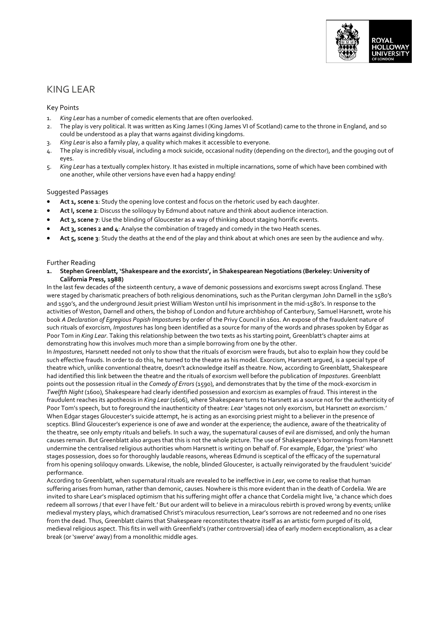

# KING LEAR

# Key Points

- 1. *King Lear* has a number of comedic elements that are often overlooked.
- 2. The play is very political. It was written as King James I (King James VI of Scotland) came to the throne in England, and so could be understood as a play that warns against dividing kingdoms.
- 3. *King Lear* is also a family play, a quality which makes it accessible to everyone.
- 4. The play is incredibly visual, including a mock suicide, occasional nudity (depending on the director), and the gouging out of eyes.
- 5. *King Lear* has a textually complex history. It has existed in multiple incarnations, some of which have been combined with one another, while other versions have even had a happy ending!

# Suggested Passages

- Act 1, scene 1: Study the opening love contest and focus on the rhetoric used by each daughter.
- **Act I, scene 2**: Discuss the soliloquy by Edmund about nature and think about audience interaction.
- **Act 3, scene 7**: Use the blinding of Gloucester as a way of thinking about staging horrific events.
- **Act 3, scenes 2 and 4**: Analyse the combination of tragedy and comedy in the two Heath scenes.
- **Act 5, scene 3**: Study the deaths at the end of the play and think about at which ones are seen by the audience and why.

## Further Reading

**1. Stephen Greenblatt, 'Shakespeare and the exorcists', in Shakespearean Negotiations (Berkeley: University of California Press, 1988)**

In the last few decades of the sixteenth century, a wave of demonic possessions and exorcisms swept across England. These were staged by charismatic preachers of both religious denominations, such as the Puritan clergyman John Darnell in the 1580's and 1590's, and the underground Jesuit priest William Weston until his imprisonment in the mid-1580's. In response to the activities of Weston, Darnell and others, the bishop of London and future archbishop of Canterbury, Samuel Harsnett, wrote his book *A Declaration of Egregious Popish Impostures* by order of the Privy Council in 1601. An expose of the fraudulent nature of such rituals of exorcism, *Impostures* has long been identified as a source for many of the words and phrases spoken by Edgar as Poor Tom in *King Lear*. Taking this relationship between the two texts as his starting point, Greenblatt's chapter aims at demonstrating how this involves much more than a simple borrowing from one by the other.

In *Impostures,* Harsnett needed not only to show that the rituals of exorcism were frauds, but also to explain how they could be such effective frauds. In order to do this, he turned to the theatre as his model. Exorcism, Harsnett argued, is a special type of theatre which, unlike conventional theatre, doesn't acknowledge itself as theatre. Now, according to Greenblatt, Shakespeare had identified this link between the theatre and the rituals of exorcism well before the publication of *Impostures*. Greenblatt points out the possession ritual in the *Comedy of Errors* (1590), and demonstrates that by the time of the mock-exorcism in *Twelfth Night* (1600), Shakespeare had clearly identified possession and exorcism as examples of fraud. This interest in the fraudulent reaches its apotheosis in *King Lear* (1606), where Shakespeare turns to Harsnett as a source not for the authenticity of Poor Tom's speech, but to foreground the inauthenticity of theatre: *Lear* 'stages not only exorcism, but Harsnett *on* exorcism.' When Edgar stages Gloucester's suicide attempt, he is acting as an exorcising priest might to a believer in the presence of sceptics. Blind Gloucester's experience is one of awe and wonder at the experience; the audience, aware of the theatricality of the theatre, see only empty rituals and beliefs. In such a way, the supernatural causes of evil are dismissed, and only the human causes remain. But Greenblatt also argues that this is not the whole picture. The use of Shakespeare's borrowings from Harsnett undermine the centralised religious authorities whom Harsnett is writing on behalf of. For example, Edgar, the 'priest' who stages possession, does so for thoroughly laudable reasons, whereas Edmund is sceptical of the efficacy of the supernatural from his opening soliloquy onwards. Likewise, the noble, blinded Gloucester, is actually reinvigorated by the fraudulent 'suicide' performance.

According to Greenblatt, when supernatural rituals are revealed to be ineffective in *Lear*, we come to realise that human suffering arises from human, rather than demonic, causes. Nowhere is this more evident than in the death of Cordelia. We are invited to share Lear's misplaced optimism that his suffering might offer a chance that Cordelia might live, 'a chance which does redeem all sorrows / that ever I have felt.' But our ardent will to believe in a miraculous rebirth is proved wrong by events; unlike medieval mystery plays, which dramatised Christ's miraculous resurrection, Lear's sorrows are not redeemed and no one rises from the dead. Thus, Greenblatt claims that Shakespeare reconstitutes theatre itself as an artistic form purged of its old, medieval religious aspect. This fits in well with Greenfield's (rather controversial) idea of early modern exceptionalism, as a clear break (or 'swerve' away) from a monolithic middle ages.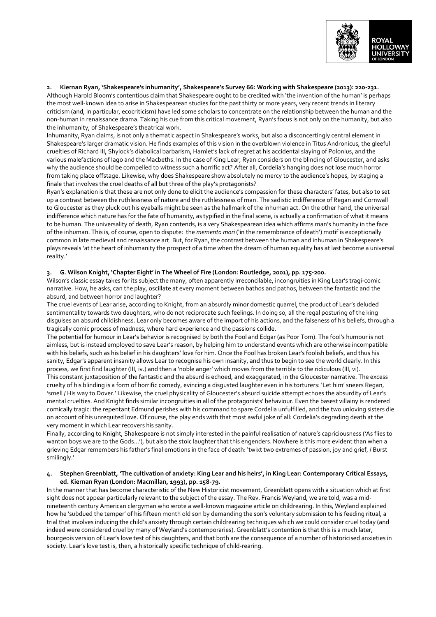

## **2. Kiernan Ryan, 'Shakespeare's inhumanity', Shakespeare's Survey 66: Working with Shakespeare (2013): 220-231.**

Although Harold Bloom's contentious claim that Shakespeare ought to be credited with 'the invention of the human' is perhaps the most well-known idea to arise in Shakespearean studies for the past thirty or more years, very recent trends in literary criticism (and, in particular, ecocriticism) have led some scholars to concentrate on the relationship between the human and the non-human in renaissance drama. Taking his cue from this critical movement, Ryan's focus is not only on the humanity, but also the inhumanity, of Shakespeare's theatrical work.

Inhumanity, Ryan claims, is not only a thematic aspect in Shakespeare's works, but also a disconcertingly central element in Shakespeare's larger dramatic vision. He finds examples of this vision in the overblown violence in Titus Andronicus, the gleeful cruelties of Richard III, Shylock's diabolical barbarism, Hamlet's lack of regret at his accidental slaying of Polonius, and the various malefactions of Iago and the Macbeths. In the case of King Lear, Ryan considers on the blinding of Gloucester, and asks why the audience should be compelled to witness such a horrific act? After all, Cordelia's hanging does not lose much horror from taking place offstage. Likewise, why does Shakespeare show absolutely no mercy to the audience's hopes, by staging a finale that involves the cruel deaths of all but three of the play's protagonists?

Ryan's explanation is that these are not only done to elicit the audience's compassion for these characters' fates, but also to set up a contrast between the ruthlessness of nature and the ruthlessness of man. The sadistic indifference of Regan and Cornwall to Gloucester as they pluck out his eyeballs might be seen as the hallmark of the inhuman act. On the other hand, the universal indifference which nature has for the fate of humanity, as typified in the final scene, is actually a confirmation of what it means to be human. The universality of death, Ryan contends, is a very Shakespearean idea which affirms man's humanity in the face of the inhuman. This is, of course, open to dispute: the *memento mori* ('in the remembrance of death') motif is exceptionally common in late medieval and renaissance art. But, for Ryan, the contrast between the human and inhuman in Shakespeare's plays reveals 'at the heart of inhumanity the prospect of a time when the dream of human equality has at last become a universal reality.'

#### **3. G. Wilson Knight, 'Chapter Eight' in The Wheel of Fire (London: Routledge, 2001), pp. 175-200.**

Wilson's classic essay takes for its subject the many, often apparently irreconcilable, incongruities in King Lear's tragi-comic narrative. How, he asks, can the play, oscillate at every moment between bathos and pathos, between the fantastic and the absurd, and between horror and laughter?

The cruel events of Lear arise, according to Knight, from an absurdly minor domestic quarrel, the product of Lear's deluded sentimentality towards two daughters, who do not reciprocate such feelings. In doing so, all the regal posturing of the king disguises an absurd childishness. Lear only becomes aware of the import of his actions, and the falseness of his beliefs, through a tragically comic process of madness, where hard experience and the passions collide.

The potential for humour in Lear's behavior is recognised by both the Fool and Edgar (as Poor Tom). The fool's humour is not aimless, but is instead employed to save Lear's reason, by helping him to understand events which are otherwise incompatible with his beliefs, such as his belief in his daughters' love for him. Once the Fool has broken Lear's foolish beliefs, and thus his sanity, Edgar's apparent insanity allows Lear to recognise his own insanity, and thus to begin to see the world clearly. In this process, we first find laughter (III, iv.) and then a 'noble anger' which moves from the terrible to the ridiculous (III, vi). This constant juxtaposition of the fantastic and the absurd is echoed, and exaggerated, in the Gloucester narrative. The excess

cruelty of his blinding is a form of horrific comedy, evincing a disgusted laughter even in his torturers: 'Let him' sneers Regan, 'smell / His way to Dover.' Likewise, the cruel physicality of Gloucester's absurd suicide attempt echoes the absurdity of Lear's mental cruelties. And Knight finds similar incongruities in all of the protagonists' behaviour. Even the basest villainy is rendered comically tragic: the repentant Edmund perishes with his command to spare Cordelia unfulfilled, and the two unloving sisters die on account of his unrequited love. Of course, the play ends with that most awful joke of all: Cordelia's degrading death at the very moment in which Lear recovers his sanity.

Finally, according to Knight, Shakespeare is not simply interested in the painful realisation of nature's capriciousness ('As flies to wanton boys we are to the Gods...'), but also the stoic laughter that this engenders. Nowhere is this more evident than when a grieving Edgar remembers his father's final emotions in the face of death: 'twixt two extremes of passion, joy and grief, / Burst smilingly.'

## **4. Stephen Greenblatt, 'The cultivation of anxiety: King Lear and his heirs', in King Lear: Contemporary Critical Essays, ed. Kiernan Ryan (London: Macmillan, 1993), pp. 158-79.**

In the manner that has become characteristic of the New Historicist movement, Greenblatt opens with a situation which at first sight does not appear particularly relevant to the subject of the essay. The Rev. Francis Weyland, we are told, was a midnineteenth century American clergyman who wrote a well-known magazine article on childrearing. In this, Weyland explained how he 'subdued the temper' of his fifteen month old son by demanding the son's voluntary submission to his feeding ritual, a trial that involves inducing the child's anxiety through certain childrearing techniques which we could consider cruel today (and indeed were considered cruel by many of Weyland's contemporaries). Greenblatt's contention is that this is a much later, bourgeois version of Lear's love test of his daughters, and that both are the consequence of a number of historicised anxieties in society. Lear's love test is, then, a historically specific technique of child-rearing.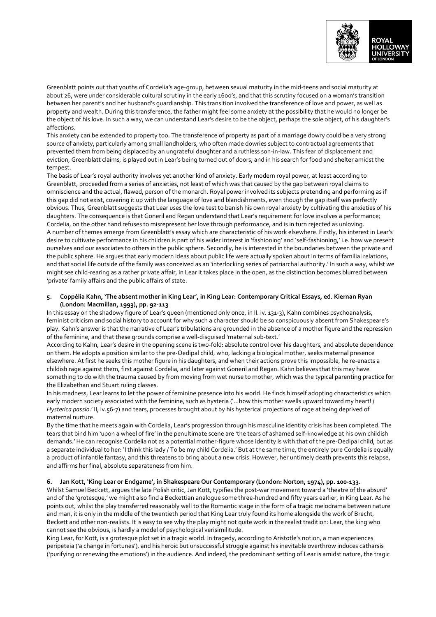

Greenblatt points out that youths of Cordelia's age-group, between sexual maturity in the mid-teens and social maturity at about 26, were under considerable cultural scrutiny in the early 1600's, and that this scrutiny focused on a woman's transition between her parent's and her husband's guardianship. This transition involved the transference of love and power, as well as property and wealth. During this transference, the father might feel some anxiety at the possibility that he would no longer be the object of his love. In such a way, we can understand Lear's desire to be the object, perhaps the sole object, of his daughter's affections.

This anxiety can be extended to property too. The transference of property as part of a marriage dowry could be a very strong source of anxiety, particularly among small landholders, who often made dowries subject to contractual agreements that prevented them from being displaced by an ungrateful daughter and a ruthless son-in-law. This fear of displacement and eviction, Greenblatt claims, is played out in Lear's being turned out of doors, and in his search for food and shelter amidst the tempest.

The basis of Lear's royal authority involves yet another kind of anxiety. Early modern royal power, at least according to Greenblatt, proceeded from a series of anxieties, not least of which was that caused by the gap between royal claims to omniscience and the actual, flawed, person of the monarch. Royal power involved its subjects pretending and performing as if this gap did not exist, covering it up with the language of love and blandishments, even though the gap itself was perfectly obvious. Thus, Greenblatt suggests that Lear uses the love test to banish his own royal anxiety by cultivating the anxieties of his daughters. The consequence is that Goneril and Regan understand that Lear's requirement for love involves a performance; Cordelia, on the other hand refuses to misrepresent her love through performance, and is in turn rejected as unloving. A number of themes emerge from Greenblatt's essay which are characteristic of his work elsewhere. Firstly, his interest in Lear's desire to cultivate performance in his children is part of his wider interest in 'fashioning' and 'self-fashioning,' i.e. how we present ourselves and our associates to others in the public sphere. Secondly, he is interested in the boundaries between the private and the public sphere. He argues that early modern ideas about public life were actually spoken about in terms of familial relations, and that social life outside of the family was conceived as an 'interlocking series of patriarchal authority.' In such a way, whilst we might see child-rearing as a rather private affair, in Lear it takes place in the open, as the distinction becomes blurred between 'private' family affairs and the public affairs of state.

### **5. Coppélia Kahn, 'The absent mother in King Lear', in King Lear: Contemporary Critical Essays, ed. Kiernan Ryan (London: Macmillan, 1993), pp. 92-113**

In this essay on the shadowy figure of Lear's queen (mentioned only once, in II. iv. 131-3), Kahn combines psychoanalysis, feminist criticism and social history to account for why such a character should be so conspicuously absent from Shakespeare's play. Kahn's answer is that the narrative of Lear's tribulations are grounded in the absence of a mother figure and the repression of the feminine, and that these grounds comprise a well-disguised 'maternal sub-text.'

According to Kahn, Lear's desire in the opening scene is two-fold: absolute control over his daughters, and absolute dependence on them. He adopts a position similar to the pre-Oedipal child, who, lacking a biological mother, seeks maternal presence elsewhere. At first he seeks this mother figure in his daughters, and when their actions prove this impossible, he re-enacts a childish rage against them, first against Cordelia, and later against Goneril and Regan. Kahn believes that this may have something to do with the trauma caused by from moving from wet nurse to mother, which was the typical parenting practice for the Elizabethan and Stuart ruling classes.

In his madness, Lear learns to let the power of feminine presence into his world. He finds himself adopting characteristics which early modern society associated with the feminine, such as hysteria ('...how this mother swells upward toward my heart! / *Hysterica passio*.' II, iv.56-7) and tears, processes brought about by his hysterical projections of rage at being deprived of maternal nurture.

By the time that he meets again with Cordelia, Lear's progression through his masculine identity crisis has been completed. The tears that bind him 'upon a wheel of fire' in the penultimate scene are 'the tears of ashamed self-knowledge at his own childish demands.' He can recognise Cordelia not as a potential mother-figure whose identity is with that of the pre-Oedipal child, but as a separate individual to her: 'I think this lady / To be my child Cordelia.' But at the same time, the entirely pure Cordelia is equally a product of infantile fantasy, and this threatens to bring about a new crisis. However, her untimely death prevents this relapse, and affirms her final, absolute separateness from him.

# **6. Jan Kott, 'King Lear or Endgame', in Shakespeare Our Contemporary (London: Norton, 1974), pp. 100-133.**

Whilst Samuel Beckett, argues the late Polish critic, Jan Kott, typifies the post-war movement toward a 'theatre of the absurd' and of the 'grotesque,' we might also find a Beckettian analogue some three-hundred and fifty years earlier, in King Lear. As he points out, whilst the play transferred reasonably well to the Romantic stage in the form of a tragic melodrama between nature and man, it is only in the middle of the twentieth period that King Lear truly found its home alongside the work of Brecht, Beckett and other non-realists. It is easy to see why the play might not quite work in the realist tradition: Lear, the king who cannot see the obvious, is hardly a model of psychological verisimilitude.

King Lear, for Kott, is a grotesque plot set in a tragic world. In tragedy, according to Aristotle's notion, a man experiences peripeteia ('a change in fortunes'), and his heroic but unsuccessful struggle against his inevitable overthrow induces catharsis ('purifying or renewing the emotions') in the audience. And indeed, the predominant setting of Lear is amidst nature, the tragic